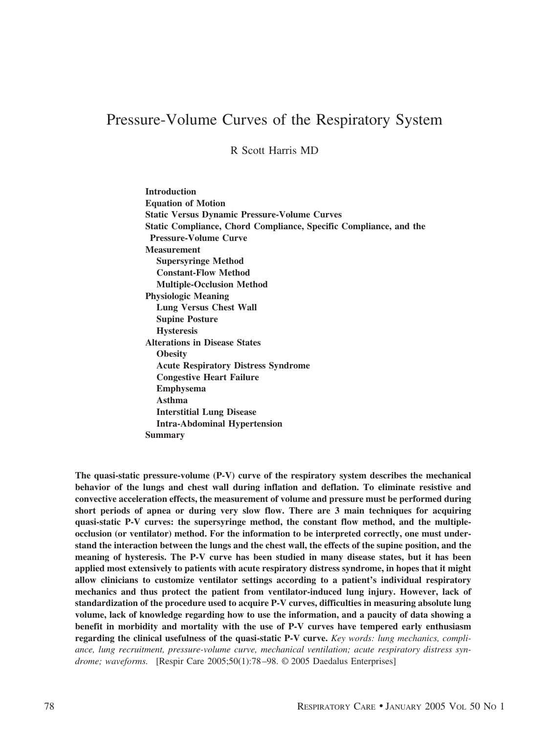# Pressure-Volume Curves of the Respiratory System

R Scott Harris MD

**Introduction Equation of Motion Static Versus Dynamic Pressure-Volume Curves Static Compliance, Chord Compliance, Specific Compliance, and the Pressure-Volume Curve Measurement Supersyringe Method Constant-Flow Method Multiple-Occlusion Method Physiologic Meaning Lung Versus Chest Wall Supine Posture Hysteresis Alterations in Disease States Obesity Acute Respiratory Distress Syndrome Congestive Heart Failure Emphysema Asthma Interstitial Lung Disease Intra-Abdominal Hypertension Summary**

**The quasi-static pressure-volume (P-V) curve of the respiratory system describes the mechanical behavior of the lungs and chest wall during inflation and deflation. To eliminate resistive and convective acceleration effects, the measurement of volume and pressure must be performed during short periods of apnea or during very slow flow. There are 3 main techniques for acquiring quasi-static P-V curves: the supersyringe method, the constant flow method, and the multipleocclusion (or ventilator) method. For the information to be interpreted correctly, one must understand the interaction between the lungs and the chest wall, the effects of the supine position, and the meaning of hysteresis. The P-V curve has been studied in many disease states, but it has been applied most extensively to patients with acute respiratory distress syndrome, in hopes that it might allow clinicians to customize ventilator settings according to a patient's individual respiratory mechanics and thus protect the patient from ventilator-induced lung injury. However, lack of standardization of the procedure used to acquire P-V curves, difficulties in measuring absolute lung volume, lack of knowledge regarding how to use the information, and a paucity of data showing a benefit in morbidity and mortality with the use of P-V curves have tempered early enthusiasm regarding the clinical usefulness of the quasi-static P-V curve.** *Key words: lung mechanics, compliance, lung recruitment, pressure-volume curve, mechanical ventilation; acute respiratory distress syndrome; waveforms.* [Respir Care 2005;50(1):78–98. © 2005 Daedalus Enterprises]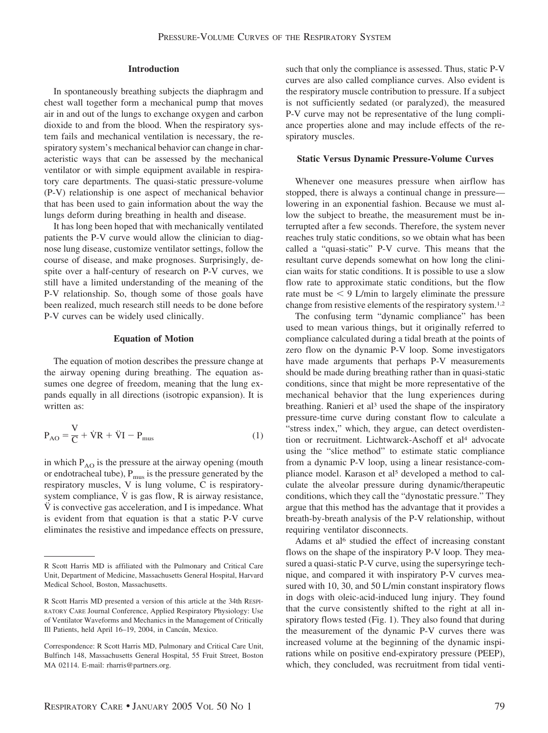# **Introduction**

In spontaneously breathing subjects the diaphragm and chest wall together form a mechanical pump that moves air in and out of the lungs to exchange oxygen and carbon dioxide to and from the blood. When the respiratory system fails and mechanical ventilation is necessary, the respiratory system's mechanical behavior can change in characteristic ways that can be assessed by the mechanical ventilator or with simple equipment available in respiratory care departments. The quasi-static pressure-volume (P-V) relationship is one aspect of mechanical behavior that has been used to gain information about the way the lungs deform during breathing in health and disease.

It has long been hoped that with mechanically ventilated patients the P-V curve would allow the clinician to diagnose lung disease, customize ventilator settings, follow the course of disease, and make prognoses. Surprisingly, despite over a half-century of research on P-V curves, we still have a limited understanding of the meaning of the P-V relationship. So, though some of those goals have been realized, much research still needs to be done before P-V curves can be widely used clinically.

## **Equation of Motion**

The equation of motion describes the pressure change at the airway opening during breathing. The equation assumes one degree of freedom, meaning that the lung expands equally in all directions (isotropic expansion). It is written as:

$$
P_{AO} = \frac{V}{C} + \dot{V}R + \ddot{V}I - P_{mus}
$$
 (1)

in which  $P_{AO}$  is the pressure at the airway opening (mouth or endotracheal tube),  $P_{\text{mus}}$  is the pressure generated by the respiratory muscles, V is lung volume, C is respiratorysystem compliance,  $\dot{V}$  is gas flow, R is airway resistance,  $\ddot{V}$  is convective gas acceleration, and I is impedance. What is evident from that equation is that a static P-V curve eliminates the resistive and impedance effects on pressure,

such that only the compliance is assessed. Thus, static P-V curves are also called compliance curves. Also evident is the respiratory muscle contribution to pressure. If a subject is not sufficiently sedated (or paralyzed), the measured P-V curve may not be representative of the lung compliance properties alone and may include effects of the respiratory muscles.

# **Static Versus Dynamic Pressure-Volume Curves**

Whenever one measures pressure when airflow has stopped, there is always a continual change in pressure lowering in an exponential fashion. Because we must allow the subject to breathe, the measurement must be interrupted after a few seconds. Therefore, the system never reaches truly static conditions, so we obtain what has been called a "quasi-static" P-V curve. This means that the resultant curve depends somewhat on how long the clinician waits for static conditions. It is possible to use a slow flow rate to approximate static conditions, but the flow rate must be  $\leq$  9 L/min to largely eliminate the pressure change from resistive elements of the respiratory system.1,2

The confusing term "dynamic compliance" has been used to mean various things, but it originally referred to compliance calculated during a tidal breath at the points of zero flow on the dynamic P-V loop. Some investigators have made arguments that perhaps P-V measurements should be made during breathing rather than in quasi-static conditions, since that might be more representative of the mechanical behavior that the lung experiences during breathing. Ranieri et al<sup>3</sup> used the shape of the inspiratory pressure-time curve during constant flow to calculate a "stress index," which, they argue, can detect overdistention or recruitment. Lichtwarck-Aschoff et al<sup>4</sup> advocate using the "slice method" to estimate static compliance from a dynamic P-V loop, using a linear resistance-compliance model. Karason et al<sup>5</sup> developed a method to calculate the alveolar pressure during dynamic/therapeutic conditions, which they call the "dynostatic pressure." They argue that this method has the advantage that it provides a breath-by-breath analysis of the P-V relationship, without requiring ventilator disconnects.

Adams et al<sup>6</sup> studied the effect of increasing constant flows on the shape of the inspiratory P-V loop. They measured a quasi-static P-V curve, using the supersyringe technique, and compared it with inspiratory P-V curves measured with 10, 30, and 50 L/min constant inspiratory flows in dogs with oleic-acid-induced lung injury. They found that the curve consistently shifted to the right at all inspiratory flows tested (Fig. 1). They also found that during the measurement of the dynamic P-V curves there was increased volume at the beginning of the dynamic inspirations while on positive end-expiratory pressure (PEEP), which, they concluded, was recruitment from tidal venti-

R Scott Harris MD is affiliated with the Pulmonary and Critical Care Unit, Department of Medicine, Massachusetts General Hospital, Harvard Medical School, Boston, Massachusetts.

R Scott Harris MD presented a version of this article at the 34th RESPI-RATORY CARE Journal Conference, Applied Respiratory Physiology: Use of Ventilator Waveforms and Mechanics in the Management of Critically Ill Patients, held April 16-19, 2004, in Cancún, Mexico.

Correspondence: R Scott Harris MD, Pulmonary and Critical Care Unit, Bulfinch 148, Massachusetts General Hospital, 55 Fruit Street, Boston MA 02114. E-mail: rharris@partners.org.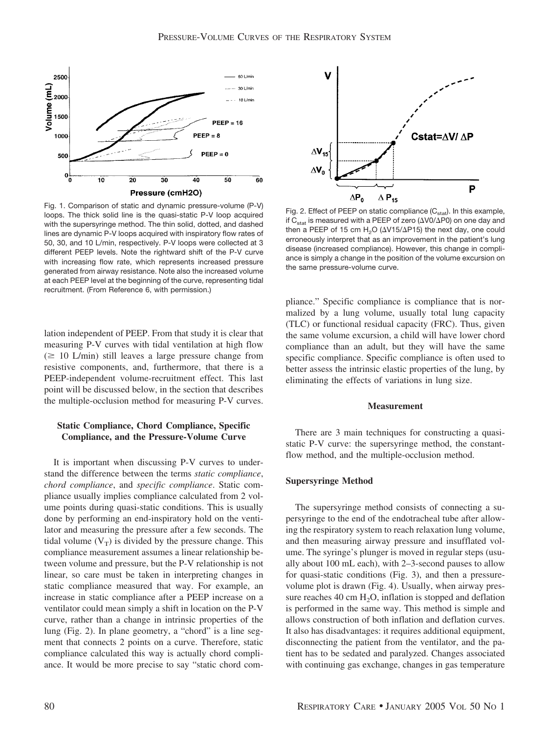

Fig. 1. Comparison of static and dynamic pressure-volume (P-V) loops. The thick solid line is the quasi-static P-V loop acquired with the supersyringe method. The thin solid, dotted, and dashed lines are dynamic P-V loops acquired with inspiratory flow rates of 50, 30, and 10 L/min, respectively. P-V loops were collected at 3 different PEEP levels. Note the rightward shift of the P-V curve with increasing flow rate, which represents increased pressure generated from airway resistance. Note also the increased volume at each PEEP level at the beginning of the curve, representing tidal recruitment. (From Reference 6, with permission.)

lation independent of PEEP. From that study it is clear that measuring P-V curves with tidal ventilation at high flow  $(\geq 10 \text{ L/min})$  still leaves a large pressure change from resistive components, and, furthermore, that there is a PEEP-independent volume-recruitment effect. This last point will be discussed below, in the section that describes the multiple-occlusion method for measuring P-V curves.

# **Static Compliance, Chord Compliance, Specific Compliance, and the Pressure-Volume Curve**

It is important when discussing P-V curves to understand the difference between the terms *static compliance*, *chord compliance*, and *specific compliance*. Static compliance usually implies compliance calculated from 2 volume points during quasi-static conditions. This is usually done by performing an end-inspiratory hold on the ventilator and measuring the pressure after a few seconds. The tidal volume  $(V_T)$  is divided by the pressure change. This compliance measurement assumes a linear relationship between volume and pressure, but the P-V relationship is not linear, so care must be taken in interpreting changes in static compliance measured that way. For example, an increase in static compliance after a PEEP increase on a ventilator could mean simply a shift in location on the P-V curve, rather than a change in intrinsic properties of the lung (Fig. 2). In plane geometry, a "chord" is a line segment that connects 2 points on a curve. Therefore, static compliance calculated this way is actually chord compliance. It would be more precise to say "static chord com-



Fig. 2. Effect of PEEP on static compliance  $(C_{\text{stat}})$ . In this example, if C $_{\rm stat}$  is measured with a PEEP of zero ( $\Delta$ V0/ $\Delta$ P0) on one day and then a PEEP of 15 cm  $H_2O$  ( $\Delta$ V15/ $\Delta$ P15) the next day, one could erroneously interpret that as an improvement in the patient's lung disease (increased compliance). However, this change in compliance is simply a change in the position of the volume excursion on the same pressure-volume curve.

pliance." Specific compliance is compliance that is normalized by a lung volume, usually total lung capacity (TLC) or functional residual capacity (FRC). Thus, given the same volume excursion, a child will have lower chord compliance than an adult, but they will have the same specific compliance. Specific compliance is often used to better assess the intrinsic elastic properties of the lung, by eliminating the effects of variations in lung size.

## **Measurement**

There are 3 main techniques for constructing a quasistatic P-V curve: the supersyringe method, the constantflow method, and the multiple-occlusion method.

# **Supersyringe Method**

The supersyringe method consists of connecting a supersyringe to the end of the endotracheal tube after allowing the respiratory system to reach relaxation lung volume, and then measuring airway pressure and insufflated volume. The syringe's plunger is moved in regular steps (usually about 100 mL each), with 2–3-second pauses to allow for quasi-static conditions (Fig. 3), and then a pressurevolume plot is drawn (Fig. 4). Usually, when airway pressure reaches 40 cm  $H_2O$ , inflation is stopped and deflation is performed in the same way. This method is simple and allows construction of both inflation and deflation curves. It also has disadvantages: it requires additional equipment, disconnecting the patient from the ventilator, and the patient has to be sedated and paralyzed. Changes associated with continuing gas exchange, changes in gas temperature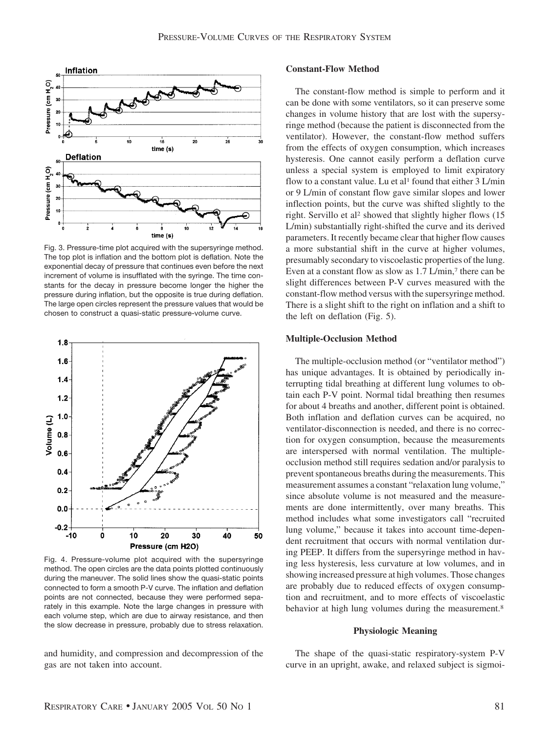

Fig. 3. Pressure-time plot acquired with the supersyringe method. The top plot is inflation and the bottom plot is deflation. Note the exponential decay of pressure that continues even before the next increment of volume is insufflated with the syringe. The time constants for the decay in pressure become longer the higher the pressure during inflation, but the opposite is true during deflation. The large open circles represent the pressure values that would be chosen to construct a quasi-static pressure-volume curve.



Fig. 4. Pressure-volume plot acquired with the supersyringe method. The open circles are the data points plotted continuously during the maneuver. The solid lines show the quasi-static points connected to form a smooth P-V curve. The inflation and deflation points are not connected, because they were performed separately in this example. Note the large changes in pressure with each volume step, which are due to airway resistance, and then the slow decrease in pressure, probably due to stress relaxation.

and humidity, and compression and decompression of the gas are not taken into account.

# **Constant-Flow Method**

The constant-flow method is simple to perform and it can be done with some ventilators, so it can preserve some changes in volume history that are lost with the supersyringe method (because the patient is disconnected from the ventilator). However, the constant-flow method suffers from the effects of oxygen consumption, which increases hysteresis. One cannot easily perform a deflation curve unless a special system is employed to limit expiratory flow to a constant value. Lu et al<sup>1</sup> found that either  $3$  L/min or 9 L/min of constant flow gave similar slopes and lower inflection points, but the curve was shifted slightly to the right. Servillo et al<sup>2</sup> showed that slightly higher flows (15 L/min) substantially right-shifted the curve and its derived parameters. It recently became clear that higher flow causes a more substantial shift in the curve at higher volumes, presumably secondary to viscoelastic properties of the lung. Even at a constant flow as slow as 1.7 L/min,<sup>7</sup> there can be slight differences between P-V curves measured with the constant-flow method versus with the supersyringe method. There is a slight shift to the right on inflation and a shift to the left on deflation (Fig. 5).

## **Multiple-Occlusion Method**

The multiple-occlusion method (or "ventilator method") has unique advantages. It is obtained by periodically interrupting tidal breathing at different lung volumes to obtain each P-V point. Normal tidal breathing then resumes for about 4 breaths and another, different point is obtained. Both inflation and deflation curves can be acquired, no ventilator-disconnection is needed, and there is no correction for oxygen consumption, because the measurements are interspersed with normal ventilation. The multipleocclusion method still requires sedation and/or paralysis to prevent spontaneous breaths during the measurements. This measurement assumes a constant "relaxation lung volume," since absolute volume is not measured and the measurements are done intermittently, over many breaths. This method includes what some investigators call "recruited lung volume," because it takes into account time-dependent recruitment that occurs with normal ventilation during PEEP. It differs from the supersyringe method in having less hysteresis, less curvature at low volumes, and in showing increased pressure at high volumes. Those changes are probably due to reduced effects of oxygen consumption and recruitment, and to more effects of viscoelastic behavior at high lung volumes during the measurement.<sup>8</sup>

#### **Physiologic Meaning**

The shape of the quasi-static respiratory-system P-V curve in an upright, awake, and relaxed subject is sigmoi-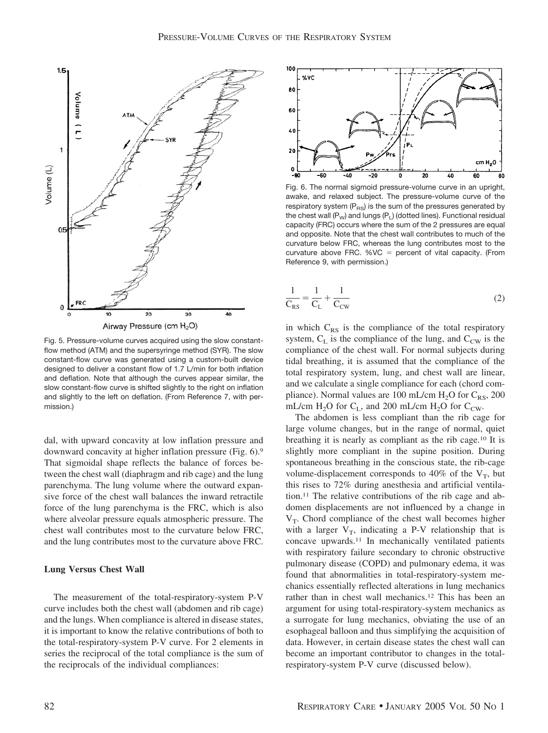

Fig. 5. Pressure-volume curves acquired using the slow constantflow method (ATM) and the supersyringe method (SYR). The slow constant-flow curve was generated using a custom-built device designed to deliver a constant flow of 1.7 L/min for both inflation and deflation. Note that although the curves appear similar, the slow constant-flow curve is shifted slightly to the right on inflation and slightly to the left on deflation. (From Reference 7, with permission.)

dal, with upward concavity at low inflation pressure and downward concavity at higher inflation pressure (Fig. 6).9 That sigmoidal shape reflects the balance of forces between the chest wall (diaphragm and rib cage) and the lung parenchyma. The lung volume where the outward expansive force of the chest wall balances the inward retractile force of the lung parenchyma is the FRC, which is also where alveolar pressure equals atmospheric pressure. The chest wall contributes most to the curvature below FRC, and the lung contributes most to the curvature above FRC.

# **Lung Versus Chest Wall**

The measurement of the total-respiratory-system P-V curve includes both the chest wall (abdomen and rib cage) and the lungs. When compliance is altered in disease states, it is important to know the relative contributions of both to the total-respiratory-system P-V curve. For 2 elements in series the reciprocal of the total compliance is the sum of the reciprocals of the individual compliances:



Fig. 6. The normal sigmoid pressure-volume curve in an upright, awake, and relaxed subject. The pressure-volume curve of the respiratory system  $(P_{RS})$  is the sum of the pressures generated by the chest wall  $(P_W)$  and lungs  $(P_L)$  (dotted lines). Functional residual capacity (FRC) occurs where the sum of the 2 pressures are equal and opposite. Note that the chest wall contributes to much of the curvature below FRC, whereas the lung contributes most to the curvature above FRC.  $%VC = percent$  of vital capacity. (From Reference 9, with permission.)

$$
\frac{1}{C_{RS}} = \frac{1}{C_L} + \frac{1}{C_{CW}}
$$
 (2)

in which  $C_{RS}$  is the compliance of the total respiratory system,  $C_L$  is the compliance of the lung, and  $C_{CW}$  is the compliance of the chest wall. For normal subjects during tidal breathing, it is assumed that the compliance of the total respiratory system, lung, and chest wall are linear, and we calculate a single compliance for each (chord compliance). Normal values are 100 mL/cm  $H_2O$  for  $C_{RS}$ , 200 mL/cm  $H_2O$  for  $C_L$ , and 200 mL/cm  $H_2O$  for  $C_{CW}$ .

The abdomen is less compliant than the rib cage for large volume changes, but in the range of normal, quiet breathing it is nearly as compliant as the rib cage.10 It is slightly more compliant in the supine position. During spontaneous breathing in the conscious state, the rib-cage volume-displacement corresponds to 40% of the  $V_T$ , but this rises to 72% during anesthesia and artificial ventilation.11 The relative contributions of the rib cage and abdomen displacements are not influenced by a change in  $V_T$ . Chord compliance of the chest wall becomes higher with a larger  $V_T$ , indicating a P-V relationship that is concave upwards.11 In mechanically ventilated patients with respiratory failure secondary to chronic obstructive pulmonary disease (COPD) and pulmonary edema, it was found that abnormalities in total-respiratory-system mechanics essentially reflected alterations in lung mechanics rather than in chest wall mechanics.12 This has been an argument for using total-respiratory-system mechanics as a surrogate for lung mechanics, obviating the use of an esophageal balloon and thus simplifying the acquisition of data. However, in certain disease states the chest wall can become an important contributor to changes in the totalrespiratory-system P-V curve (discussed below).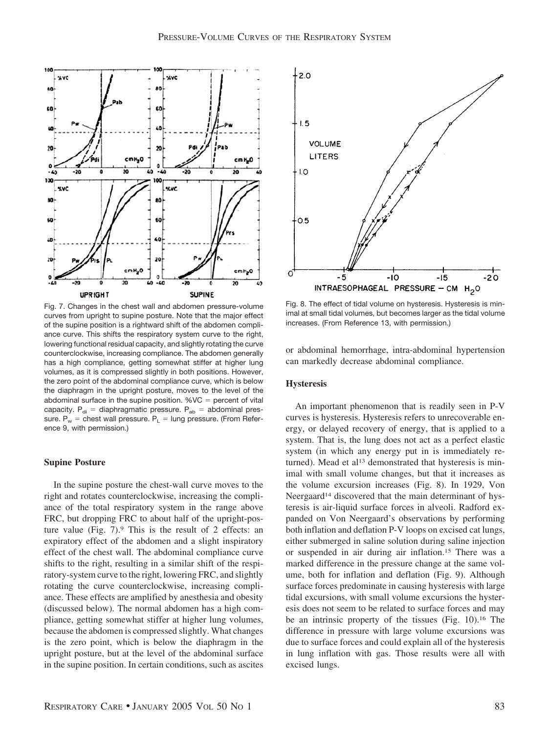

Fig. 7. Changes in the chest wall and abdomen pressure-volume curves from upright to supine posture. Note that the major effect of the supine position is a rightward shift of the abdomen compliance curve. This shifts the respiratory system curve to the right, lowering functional residual capacity, and slightly rotating the curve counterclockwise, increasing compliance. The abdomen generally has a high compliance, getting somewhat stiffer at higher lung volumes, as it is compressed slightly in both positions. However, the zero point of the abdominal compliance curve, which is below the diaphragm in the upright posture, moves to the level of the abdominal surface in the supine position.  $%VC =$  percent of vital capacity.  $P_{di}$  = diaphragmatic pressure.  $P_{ab}$  = abdominal pressure.  $P_w$  = chest wall pressure.  $P_L$  = lung pressure. (From Reference 9, with permission.)

# **Supine Posture**

In the supine posture the chest-wall curve moves to the right and rotates counterclockwise, increasing the compliance of the total respiratory system in the range above FRC, but dropping FRC to about half of the upright-posture value (Fig.  $7$ ). This is the result of 2 effects: an expiratory effect of the abdomen and a slight inspiratory effect of the chest wall. The abdominal compliance curve shifts to the right, resulting in a similar shift of the respiratory-system curve to the right, lowering FRC, and slightly rotating the curve counterclockwise, increasing compliance. These effects are amplified by anesthesia and obesity (discussed below). The normal abdomen has a high compliance, getting somewhat stiffer at higher lung volumes, because the abdomen is compressed slightly. What changes is the zero point, which is below the diaphragm in the upright posture, but at the level of the abdominal surface in the supine position. In certain conditions, such as ascites



Fig. 8. The effect of tidal volume on hysteresis. Hysteresis is minimal at small tidal volumes, but becomes larger as the tidal volume increases. (From Reference 13, with permission.)

or abdominal hemorrhage, intra-abdominal hypertension can markedly decrease abdominal compliance.

# **Hysteresis**

An important phenomenon that is readily seen in P-V curves is hysteresis. Hysteresis refers to unrecoverable energy, or delayed recovery of energy, that is applied to a system. That is, the lung does not act as a perfect elastic system (in which any energy put in is immediately returned). Mead et al<sup>13</sup> demonstrated that hysteresis is minimal with small volume changes, but that it increases as the volume excursion increases (Fig. 8). In 1929, Von Neergaard<sup>14</sup> discovered that the main determinant of hysteresis is air-liquid surface forces in alveoli. Radford expanded on Von Neergaard's observations by performing both inflation and deflation P-V loops on excised cat lungs, either submerged in saline solution during saline injection or suspended in air during air inflation.15 There was a marked difference in the pressure change at the same volume, both for inflation and deflation (Fig. 9). Although surface forces predominate in causing hysteresis with large tidal excursions, with small volume excursions the hysteresis does not seem to be related to surface forces and may be an intrinsic property of the tissues (Fig. 10).16 The difference in pressure with large volume excursions was due to surface forces and could explain all of the hysteresis in lung inflation with gas. Those results were all with excised lungs.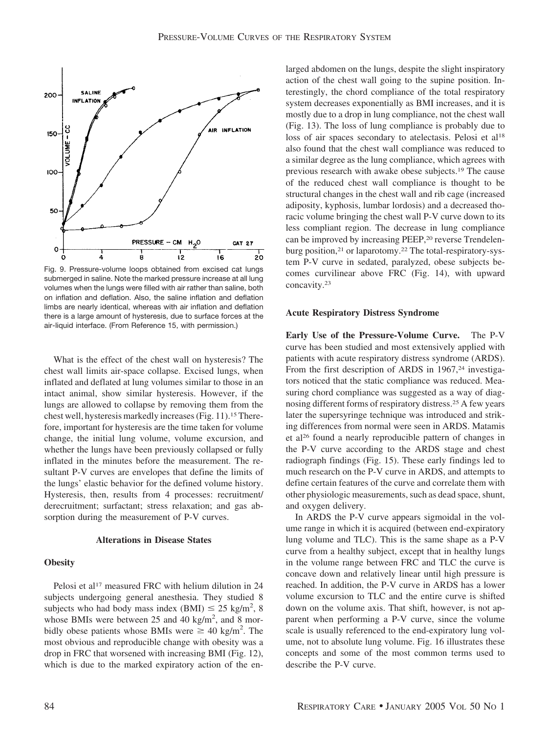

Fig. 9. Pressure-volume loops obtained from excised cat lungs submerged in saline. Note the marked pressure increase at all lung volumes when the lungs were filled with air rather than saline, both on inflation and deflation. Also, the saline inflation and deflation limbs are nearly identical, whereas with air inflation and deflation there is a large amount of hysteresis, due to surface forces at the air-liquid interface. (From Reference 15, with permission.)

What is the effect of the chest wall on hysteresis? The chest wall limits air-space collapse. Excised lungs, when inflated and deflated at lung volumes similar to those in an intact animal, show similar hysteresis. However, if the lungs are allowed to collapse by removing them from the chest well, hysteresis markedly increases (Fig. 11).15Therefore, important for hysteresis are the time taken for volume change, the initial lung volume, volume excursion, and whether the lungs have been previously collapsed or fully inflated in the minutes before the measurement. The resultant P-V curves are envelopes that define the limits of the lungs' elastic behavior for the defined volume history. Hysteresis, then, results from 4 processes: recruitment/ derecruitment; surfactant; stress relaxation; and gas absorption during the measurement of P-V curves.

#### **Alterations in Disease States**

# **Obesity**

Pelosi et al<sup>17</sup> measured FRC with helium dilution in 24 subjects undergoing general anesthesia. They studied 8 subjects who had body mass index (BMI)  $\leq 25$  kg/m<sup>2</sup>, 8 whose BMIs were between 25 and 40 kg/m<sup>2</sup>, and 8 morbidly obese patients whose BMIs were  $\geq 40$  kg/m<sup>2</sup>. The most obvious and reproducible change with obesity was a drop in FRC that worsened with increasing BMI (Fig. 12), which is due to the marked expiratory action of the en-

larged abdomen on the lungs, despite the slight inspiratory action of the chest wall going to the supine position. Interestingly, the chord compliance of the total respiratory system decreases exponentially as BMI increases, and it is mostly due to a drop in lung compliance, not the chest wall (Fig. 13). The loss of lung compliance is probably due to loss of air spaces secondary to atelectasis. Pelosi et al<sup>18</sup> also found that the chest wall compliance was reduced to a similar degree as the lung compliance, which agrees with previous research with awake obese subjects.19 The cause of the reduced chest wall compliance is thought to be structural changes in the chest wall and rib cage (increased adiposity, kyphosis, lumbar lordosis) and a decreased thoracic volume bringing the chest wall P-V curve down to its less compliant region. The decrease in lung compliance can be improved by increasing PEEP,<sup>20</sup> reverse Trendelenburg position,21 or laparotomy.22 The total-respiratory-system P-V curve in sedated, paralyzed, obese subjects becomes curvilinear above FRC (Fig. 14), with upward concavity.23

#### **Acute Respiratory Distress Syndrome**

**Early Use of the Pressure-Volume Curve.** The P-V curve has been studied and most extensively applied with patients with acute respiratory distress syndrome (ARDS). From the first description of ARDS in 1967,<sup>24</sup> investigators noticed that the static compliance was reduced. Measuring chord compliance was suggested as a way of diagnosing different forms of respiratory distress.25 A few years later the supersyringe technique was introduced and striking differences from normal were seen in ARDS. Matamis et al26 found a nearly reproducible pattern of changes in the P-V curve according to the ARDS stage and chest radiograph findings (Fig. 15). These early findings led to much research on the P-V curve in ARDS, and attempts to define certain features of the curve and correlate them with other physiologic measurements, such as dead space, shunt, and oxygen delivery.

In ARDS the P-V curve appears sigmoidal in the volume range in which it is acquired (between end-expiratory lung volume and TLC). This is the same shape as a P-V curve from a healthy subject, except that in healthy lungs in the volume range between FRC and TLC the curve is concave down and relatively linear until high pressure is reached. In addition, the P-V curve in ARDS has a lower volume excursion to TLC and the entire curve is shifted down on the volume axis. That shift, however, is not apparent when performing a P-V curve, since the volume scale is usually referenced to the end-expiratory lung volume, not to absolute lung volume. Fig. 16 illustrates these concepts and some of the most common terms used to describe the P-V curve.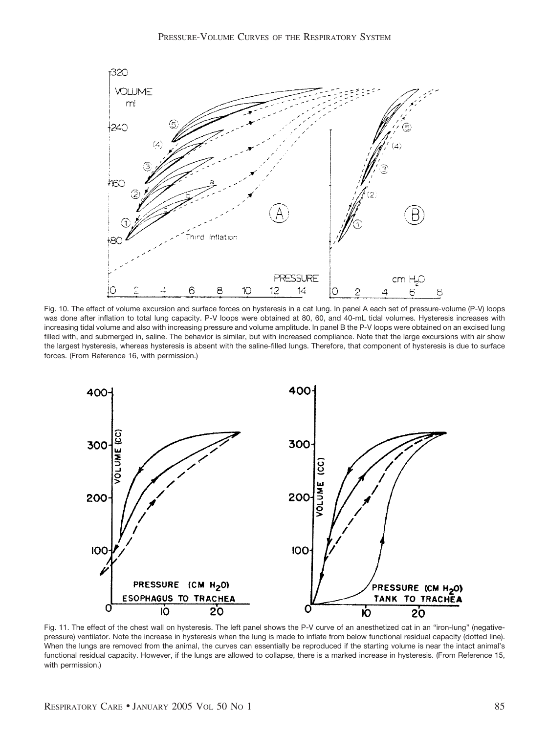

Fig. 10. The effect of volume excursion and surface forces on hysteresis in a cat lung. In panel A each set of pressure-volume (P-V) loops was done after inflation to total lung capacity. P-V loops were obtained at 80, 60, and 40-mL tidal volumes. Hysteresis increases with increasing tidal volume and also with increasing pressure and volume amplitude. In panel B the P-V loops were obtained on an excised lung filled with, and submerged in, saline. The behavior is similar, but with increased compliance. Note that the large excursions with air show the largest hysteresis, whereas hysteresis is absent with the saline-filled lungs. Therefore, that component of hysteresis is due to surface forces. (From Reference 16, with permission.)



Fig. 11. The effect of the chest wall on hysteresis. The left panel shows the P-V curve of an anesthetized cat in an "iron-lung" (negativepressure) ventilator. Note the increase in hysteresis when the lung is made to inflate from below functional residual capacity (dotted line). When the lungs are removed from the animal, the curves can essentially be reproduced if the starting volume is near the intact animal's functional residual capacity. However, if the lungs are allowed to collapse, there is a marked increase in hysteresis. (From Reference 15, with permission.)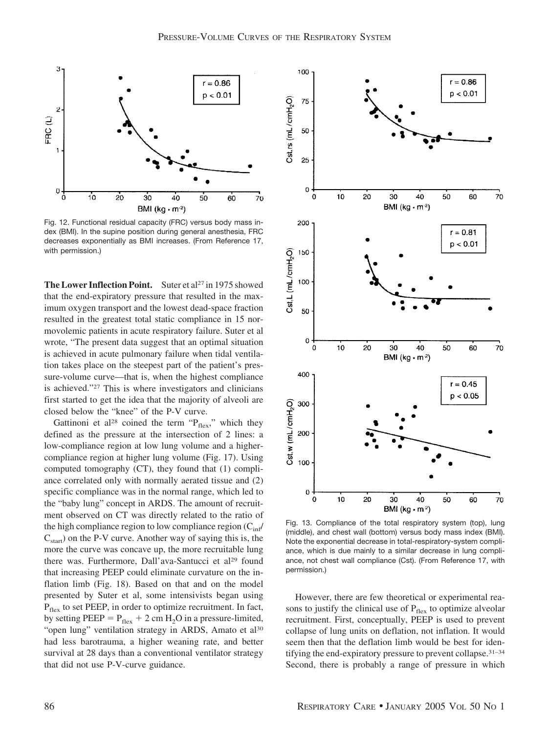

Fig. 12. Functional residual capacity (FRC) versus body mass index (BMI). In the supine position during general anesthesia, FRC decreases exponentially as BMI increases. (From Reference 17, with permission.)

**The Lower Inflection Point.** Suter et al<sup>27</sup> in 1975 showed that the end-expiratory pressure that resulted in the maximum oxygen transport and the lowest dead-space fraction resulted in the greatest total static compliance in 15 normovolemic patients in acute respiratory failure. Suter et al wrote, "The present data suggest that an optimal situation is achieved in acute pulmonary failure when tidal ventilation takes place on the steepest part of the patient's pressure-volume curve—that is, when the highest compliance is achieved."27 This is where investigators and clinicians first started to get the idea that the majority of alveoli are closed below the "knee" of the P-V curve.

Gattinoni et al<sup>28</sup> coined the term " $P_{flex}$ ," which they defined as the pressure at the intersection of 2 lines: a low-compliance region at low lung volume and a highercompliance region at higher lung volume (Fig. 17). Using computed tomography (CT), they found that (1) compliance correlated only with normally aerated tissue and (2) specific compliance was in the normal range, which led to the "baby lung" concept in ARDS. The amount of recruitment observed on CT was directly related to the ratio of the high compliance region to low compliance region  $(C_{\text{inf}}/C_{\text{inf}})$  $C_{\text{start}}$ ) on the P-V curve. Another way of saying this is, the more the curve was concave up, the more recruitable lung there was. Furthermore, Dall'ava-Santucci et al<sup>29</sup> found that increasing PEEP could eliminate curvature on the inflation limb (Fig. 18). Based on that and on the model presented by Suter et al, some intensivists began using  $P_{\text{flex}}$  to set PEEP, in order to optimize recruitment. In fact, by setting PEEP =  $P_{flex}$  + 2 cm H<sub>2</sub>O in a pressure-limited, "open lung" ventilation strategy in ARDS, Amato et al<sup>30</sup> had less barotrauma, a higher weaning rate, and better survival at 28 days than a conventional ventilator strategy that did not use P-V-curve guidance.



Fig. 13. Compliance of the total respiratory system (top), lung (middle), and chest wall (bottom) versus body mass index (BMI). Note the exponential decrease in total-respiratory-system compliance, which is due mainly to a similar decrease in lung compliance, not chest wall compliance (Cst). (From Reference 17, with permission.)

However, there are few theoretical or experimental reasons to justify the clinical use of  $P_{flex}$  to optimize alveolar recruitment. First, conceptually, PEEP is used to prevent collapse of lung units on deflation, not inflation. It would seem then that the deflation limb would be best for identifying the end-expiratory pressure to prevent collapse.31–34 Second, there is probably a range of pressure in which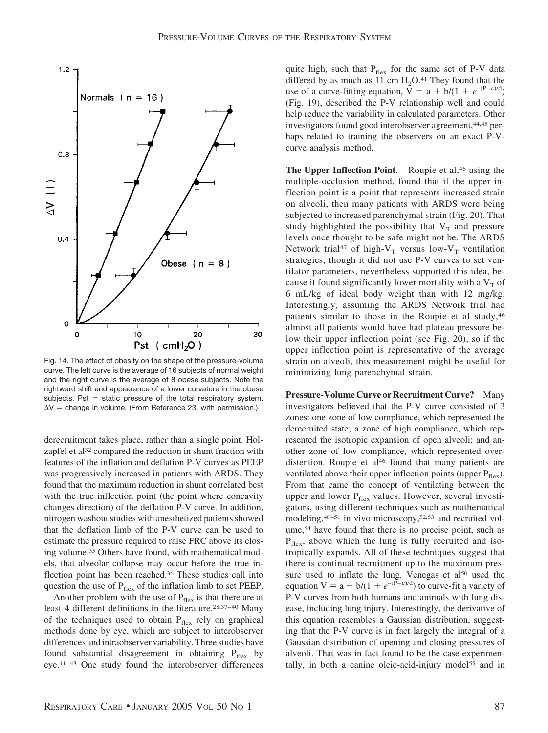

Fig. 14. The effect of obesity on the shape of the pressure-volume curve. The left curve is the average of 16 subjects of normal weight and the right curve is the average of 8 obese subjects. Note the rightward shift and appearance of a lower curvature in the obese subjects. Pst  $=$  static pressure of the total respiratory system.  $\Delta V =$  change in volume. (From Reference 23, with permission.)

derecruitment takes place, rather than a single point. Holzapfel et al<sup>32</sup> compared the reduction in shunt fraction with features of the inflation and deflation P-V curves as PEEP was progressively increased in patients with ARDS. They found that the maximum reduction in shunt correlated best with the true inflection point (the point where concavity changes direction) of the deflation P-V curve. In addition, nitrogen washout studies with anesthetized patients showed that the deflation limb of the P-V curve can be used to estimate the pressure required to raise FRC above its closing volume.35 Others have found, with mathematical models, that alveolar collapse may occur before the true inflection point has been reached.36 These studies call into question the use of  $P_{flex}$  of the inflation limb to set PEEP.

Another problem with the use of  $P_{\text{flex}}$  is that there are at least 4 different definitions in the literature.28,37–40 Many of the techniques used to obtain  $P_{flex}$  rely on graphical methods done by eye, which are subject to interobserver differences and intraobserver variability. Three studies have found substantial disagreement in obtaining  $P_{flex}$  by eye.41–43 One study found the interobserver differences

quite high, such that  $P_{flex}$  for the same set of P-V data differed by as much as 11 cm  $H_2O^{41}$ . They found that the use of a curve-fitting equation,  $V = a + b/(1 + e^{-(P-c)/d})$ (Fig. 19), described the P-V relationship well and could help reduce the variability in calculated parameters. Other investigators found good interobserver agreement,<sup>44,45</sup> perhaps related to training the observers on an exact P-Vcurve analysis method.

**The Upper Inflection Point.** Roupie et al,<sup>46</sup> using the multiple-occlusion method, found that if the upper inflection point is a point that represents increased strain on alveoli, then many patients with ARDS were being subjected to increased parenchymal strain (Fig. 20). That study highlighted the possibility that  $V_T$  and pressure levels once thought to be safe might not be. The ARDS Network trial<sup>47</sup> of high-V<sub>T</sub> versus low-V<sub>T</sub> ventilation strategies, though it did not use P-V curves to set ventilator parameters, nevertheless supported this idea, because it found significantly lower mortality with a  $V<sub>T</sub>$  of 6 mL/kg of ideal body weight than with 12 mg/kg. Interestingly, assuming the ARDS Network trial had patients similar to those in the Roupie et al study,46 almost all patients would have had plateau pressure below their upper inflection point (see Fig. 20), so if the upper inflection point is representative of the average strain on alveoli, this measurement might be useful for minimizing lung parenchymal strain.

**Pressure-Volume Curve or Recruitment Curve?** Many investigators believed that the P-V curve consisted of 3 zones: one zone of low compliance, which represented the derecruited state; a zone of high compliance, which represented the isotropic expansion of open alveoli; and another zone of low compliance, which represented overdistention. Roupie et al<sup>46</sup> found that many patients are ventilated above their upper inflection points (upper  $P_{flex}$ ). From that came the concept of ventilating between the upper and lower  $P_{flex}$  values. However, several investigators, using different techniques such as mathematical modeling,<sup>48–51</sup> in vivo microscopy,<sup>52,53</sup> and recruited volume,54 have found that there is no precise point, such as  $P_{\text{flex}}$ , above which the lung is fully recruited and isotropically expands. All of these techniques suggest that there is continual recruitment up to the maximum pressure used to inflate the lung. Venegas et al<sup>50</sup> used the equation  $V = a + b/(1 + e^{-(P-c)/d})$  to curve-fit a variety of P-V curves from both humans and animals with lung disease, including lung injury. Interestingly, the derivative of this equation resembles a Gaussian distribution, suggesting that the P-V curve is in fact largely the integral of a Gaussian distribution of opening and closing pressures of alveoli. That was in fact found to be the case experimentally, in both a canine oleic-acid-injury model55 and in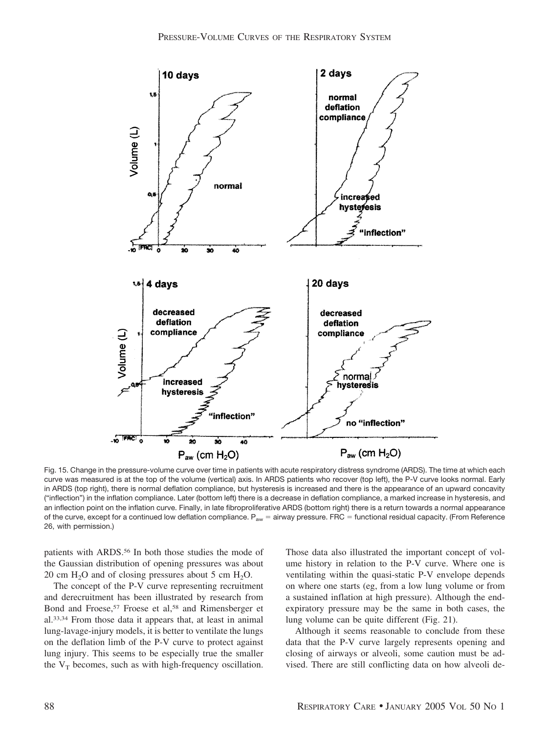

Fig. 15. Change in the pressure-volume curve over time in patients with acute respiratory distress syndrome (ARDS). The time at which each curve was measured is at the top of the volume (vertical) axis. In ARDS patients who recover (top left), the P-V curve looks normal. Early in ARDS (top right), there is normal deflation compliance, but hysteresis is increased and there is the appearance of an upward concavity ("inflection") in the inflation compliance. Later (bottom left) there is a decrease in deflation compliance, a marked increase in hysteresis, and an inflection point on the inflation curve. Finally, in late fibroproliferative ARDS (bottom right) there is a return towards a normal appearance of the curve, except for a continued low deflation compliance.  $P_{aw}$  = airway pressure. FRC = functional residual capacity. (From Reference 26, with permission.)

patients with ARDS.<sup>56</sup> In both those studies the mode of the Gaussian distribution of opening pressures was about 20 cm  $H_2O$  and of closing pressures about 5 cm  $H_2O$ .

The concept of the P-V curve representing recruitment and derecruitment has been illustrated by research from Bond and Froese,<sup>57</sup> Froese et al,<sup>58</sup> and Rimensberger et al.33,34 From those data it appears that, at least in animal lung-lavage-injury models, it is better to ventilate the lungs on the deflation limb of the P-V curve to protect against lung injury. This seems to be especially true the smaller the  $V_T$  becomes, such as with high-frequency oscillation.

Those data also illustrated the important concept of volume history in relation to the P-V curve. Where one is ventilating within the quasi-static P-V envelope depends on where one starts (eg, from a low lung volume or from a sustained inflation at high pressure). Although the endexpiratory pressure may be the same in both cases, the lung volume can be quite different (Fig. 21).

Although it seems reasonable to conclude from these data that the P-V curve largely represents opening and closing of airways or alveoli, some caution must be advised. There are still conflicting data on how alveoli de-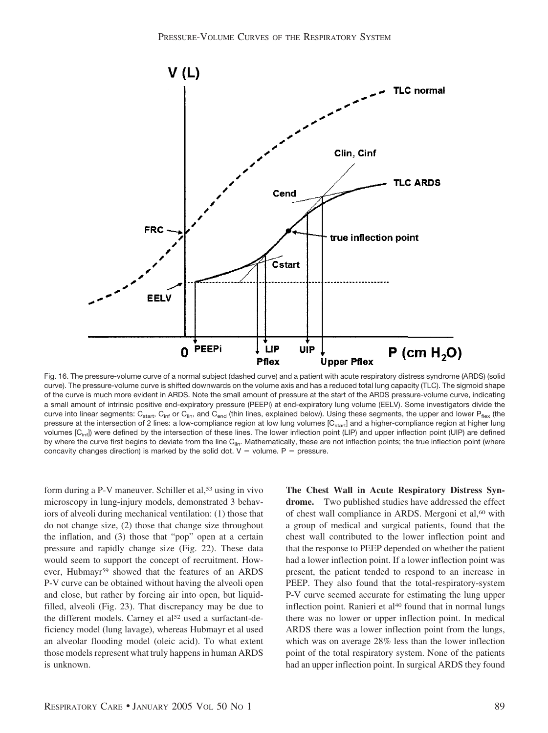

Fig. 16. The pressure-volume curve of a normal subject (dashed curve) and a patient with acute respiratory distress syndrome (ARDS) (solid curve). The pressure-volume curve is shifted downwards on the volume axis and has a reduced total lung capacity (TLC). The sigmoid shape of the curve is much more evident in ARDS. Note the small amount of pressure at the start of the ARDS pressure-volume curve, indicating a small amount of intrinsic positive end-expiratory pressure (PEEPi) at end-expiratory lung volume (EELV). Some investigators divide the curve into linear segments:  $C_{start}$ ,  $C_{inf}$  or  $C_{lin}$ , and  $C_{end}$  (thin lines, explained below). Using these segments, the upper and lower  $P_{flex}$  (the pressure at the intersection of 2 lines: a low-compliance region at low lung volumes [C<sub>start</sub>] and a higher-compliance region at higher lung volumes [C<sub>inf</sub>]) were defined by the intersection of these lines. The lower inflection point (LIP) and upper inflection point (UIP) are defined by where the curve first begins to deviate from the line  $C_{\text{lin}}$ . Mathematically, these are not inflection points; the true inflection point (where concavity changes direction) is marked by the solid dot.  $V =$  volume. P = pressure.

form during a P-V maneuver. Schiller et al,<sup>53</sup> using in vivo microscopy in lung-injury models, demonstrated 3 behaviors of alveoli during mechanical ventilation: (1) those that do not change size, (2) those that change size throughout the inflation, and (3) those that "pop" open at a certain pressure and rapidly change size (Fig. 22). These data would seem to support the concept of recruitment. However, Hubmayr59 showed that the features of an ARDS P-V curve can be obtained without having the alveoli open and close, but rather by forcing air into open, but liquidfilled, alveoli (Fig. 23). That discrepancy may be due to the different models. Carney et al<sup>52</sup> used a surfactant-deficiency model (lung lavage), whereas Hubmayr et al used an alveolar flooding model (oleic acid). To what extent those models represent what truly happens in human ARDS is unknown.

**The Chest Wall in Acute Respiratory Distress Syndrome.** Two published studies have addressed the effect of chest wall compliance in ARDS. Mergoni et al,<sup>60</sup> with a group of medical and surgical patients, found that the chest wall contributed to the lower inflection point and that the response to PEEP depended on whether the patient had a lower inflection point. If a lower inflection point was present, the patient tended to respond to an increase in PEEP. They also found that the total-respiratory-system P-V curve seemed accurate for estimating the lung upper inflection point. Ranieri et al<sup>40</sup> found that in normal lungs there was no lower or upper inflection point. In medical ARDS there was a lower inflection point from the lungs, which was on average 28% less than the lower inflection point of the total respiratory system. None of the patients had an upper inflection point. In surgical ARDS they found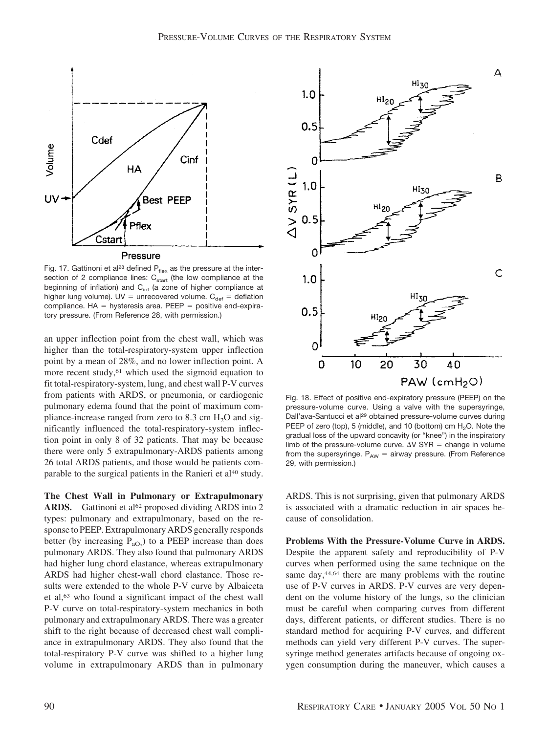

Fig. 17. Gattinoni et al<sup>28</sup> defined  $P_{\text{flex}}$  as the pressure at the intersection of 2 compliance lines:  $C_{start}$  (the low compliance at the beginning of inflation) and  $C<sub>inf</sub>$  (a zone of higher compliance at higher lung volume). UV = unrecovered volume.  $C_{\text{def}} =$  deflation compliance.  $HA =$  hysteresis area. PEEP = positive end-expiratory pressure. (From Reference 28, with permission.)

an upper inflection point from the chest wall, which was higher than the total-respiratory-system upper inflection point by a mean of 28%, and no lower inflection point. A more recent study,<sup>61</sup> which used the sigmoid equation to fit total-respiratory-system, lung, and chest wall P-V curves from patients with ARDS, or pneumonia, or cardiogenic pulmonary edema found that the point of maximum compliance-increase ranged from zero to 8.3 cm  $H_2O$  and significantly influenced the total-respiratory-system inflection point in only 8 of 32 patients. That may be because there were only 5 extrapulmonary-ARDS patients among 26 total ARDS patients, and those would be patients comparable to the surgical patients in the Ranieri et al<sup>40</sup> study.

**The Chest Wall in Pulmonary or Extrapulmonary** ARDS. Gattinoni et al<sup>62</sup> proposed dividing ARDS into 2 types: pulmonary and extrapulmonary, based on the response to PEEP. Extrapulmonary ARDS generally responds better (by increasing  $P_{aO_2}$ ) to a PEEP increase than does pulmonary ARDS. They also found that pulmonary ARDS had higher lung chord elastance, whereas extrapulmonary ARDS had higher chest-wall chord elastance. Those results were extended to the whole P-V curve by Albaiceta et al,63 who found a significant impact of the chest wall P-V curve on total-respiratory-system mechanics in both pulmonary and extrapulmonary ARDS. There was a greater shift to the right because of decreased chest wall compliance in extrapulmonary ARDS. They also found that the total-respiratory P-V curve was shifted to a higher lung volume in extrapulmonary ARDS than in pulmonary



Fig. 18. Effect of positive end-expiratory pressure (PEEP) on the pressure-volume curve. Using a valve with the supersyringe, Dall'ava-Santucci et al<sup>29</sup> obtained pressure-volume curves during PEEP of zero (top), 5 (middle), and 10 (bottom) cm  $H_2O$ . Note the gradual loss of the upward concavity (or "knee") in the inspiratory limb of the pressure-volume curve.  $\Delta V$  SYR = change in volume from the supersyringe.  $P_{AW}$  = airway pressure. (From Reference 29, with permission.)

ARDS. This is not surprising, given that pulmonary ARDS is associated with a dramatic reduction in air spaces because of consolidation.

**Problems With the Pressure-Volume Curve in ARDS.** Despite the apparent safety and reproducibility of P-V curves when performed using the same technique on the same day,<sup>44,64</sup> there are many problems with the routine use of P-V curves in ARDS. P-V curves are very dependent on the volume history of the lungs, so the clinician must be careful when comparing curves from different days, different patients, or different studies. There is no standard method for acquiring P-V curves, and different methods can yield very different P-V curves. The supersyringe method generates artifacts because of ongoing oxygen consumption during the maneuver, which causes a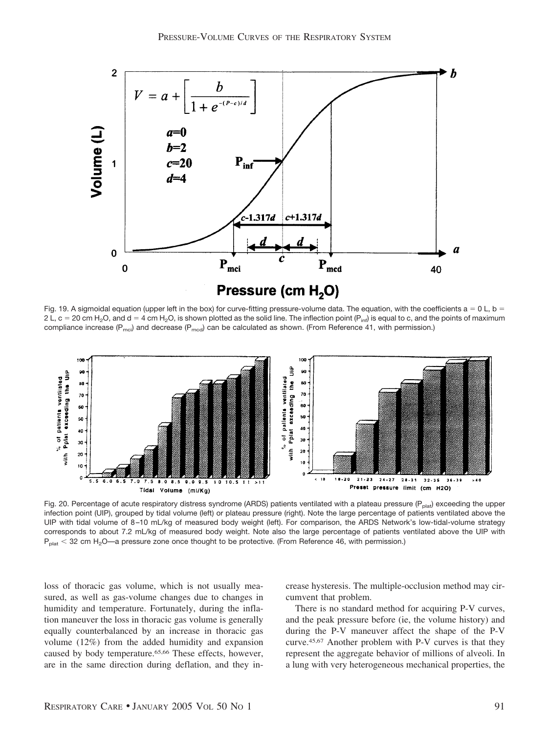

Fig. 19. A sigmoidal equation (upper left in the box) for curve-fitting pressure-volume data. The equation, with the coefficients  $a = 0$  L, b = 2 L, c = 20 cm H<sub>2</sub>O, and d = 4 cm H<sub>2</sub>O, is shown plotted as the solid line. The inflection point (P<sub>inf</sub>) is equal to c, and the points of maximum compliance increase ( $P_{\text{mol}}$ ) and decrease ( $P_{\text{mod}}$ ) can be calculated as shown. (From Reference 41, with permission.)



Fig. 20. Percentage of acute respiratory distress syndrome (ARDS) patients ventilated with a plateau pressure ( $P_{plat}$ ) exceeding the upper infection point (UIP), grouped by tidal volume (left) or plateau pressure (right). Note the large percentage of patients ventilated above the UIP with tidal volume of 8 –10 mL/kg of measured body weight (left). For comparison, the ARDS Network's low-tidal-volume strategy corresponds to about 7.2 mL/kg of measured body weight. Note also the large percentage of patients ventilated above the UIP with  $P_{\text{plat}}$   $<$  32 cm H<sub>2</sub>O—a pressure zone once thought to be protective. (From Reference 46, with permission.)

loss of thoracic gas volume, which is not usually measured, as well as gas-volume changes due to changes in humidity and temperature. Fortunately, during the inflation maneuver the loss in thoracic gas volume is generally equally counterbalanced by an increase in thoracic gas volume (12%) from the added humidity and expansion caused by body temperature.65,66 These effects, however, are in the same direction during deflation, and they increase hysteresis. The multiple-occlusion method may circumvent that problem.

There is no standard method for acquiring P-V curves, and the peak pressure before (ie, the volume history) and during the P-V maneuver affect the shape of the P-V curve.45,67 Another problem with P-V curves is that they represent the aggregate behavior of millions of alveoli. In a lung with very heterogeneous mechanical properties, the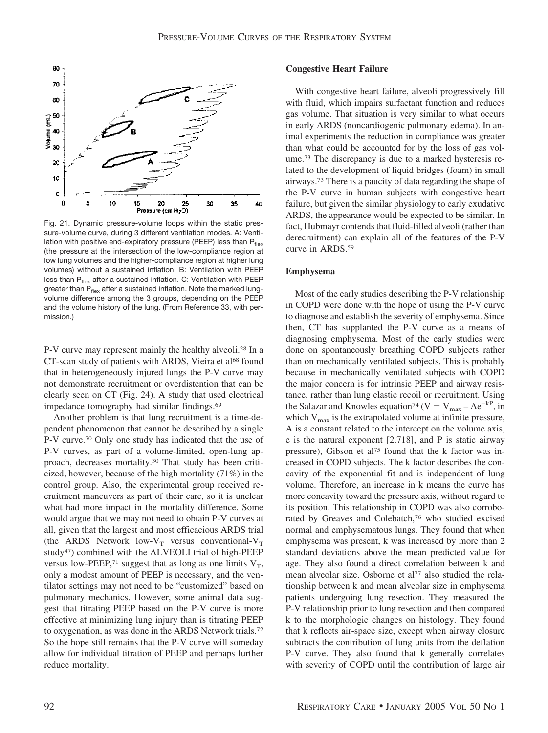

Fig. 21. Dynamic pressure-volume loops within the static pressure-volume curve, during 3 different ventilation modes. A: Ventilation with positive end-expiratory pressure (PEEP) less than  $P_{flex}$ (the pressure at the intersection of the low-compliance region at low lung volumes and the higher-compliance region at higher lung volumes) without a sustained inflation. B: Ventilation with PEEP less than  $P_{\text{flex}}$  after a sustained inflation. C: Ventilation with PEEP greater than  $P_{flex}$  after a sustained inflation. Note the marked lungvolume difference among the 3 groups, depending on the PEEP and the volume history of the lung. (From Reference 33, with permission.)

P-V curve may represent mainly the healthy alveoli.28 In a CT-scan study of patients with ARDS, Vieira et al<sup>68</sup> found that in heterogeneously injured lungs the P-V curve may not demonstrate recruitment or overdistention that can be clearly seen on CT (Fig. 24). A study that used electrical impedance tomography had similar findings.69

Another problem is that lung recruitment is a time-dependent phenomenon that cannot be described by a single P-V curve.70 Only one study has indicated that the use of P-V curves, as part of a volume-limited, open-lung approach, decreases mortality.30 That study has been criticized, however, because of the high mortality (71%) in the control group. Also, the experimental group received recruitment maneuvers as part of their care, so it is unclear what had more impact in the mortality difference. Some would argue that we may not need to obtain P-V curves at all, given that the largest and most efficacious ARDS trial (the ARDS Network low- $V_T$  versus conventional- $V_T$ study47) combined with the ALVEOLI trial of high-PEEP versus low-PEEP,<sup>71</sup> suggest that as long as one limits  $V_T$ , only a modest amount of PEEP is necessary, and the ventilator settings may not need to be "customized" based on pulmonary mechanics. However, some animal data suggest that titrating PEEP based on the P-V curve is more effective at minimizing lung injury than is titrating PEEP to oxygenation, as was done in the ARDS Network trials.72 So the hope still remains that the P-V curve will someday allow for individual titration of PEEP and perhaps further reduce mortality.

# **Congestive Heart Failure**

With congestive heart failure, alveoli progressively fill with fluid, which impairs surfactant function and reduces gas volume. That situation is very similar to what occurs in early ARDS (noncardiogenic pulmonary edema). In animal experiments the reduction in compliance was greater than what could be accounted for by the loss of gas volume.73 The discrepancy is due to a marked hysteresis related to the development of liquid bridges (foam) in small airways.73 There is a paucity of data regarding the shape of the P-V curve in human subjects with congestive heart failure, but given the similar physiology to early exudative ARDS, the appearance would be expected to be similar. In fact, Hubmayr contends that fluid-filled alveoli (rather than derecruitment) can explain all of the features of the P-V curve in ARDS.59

## **Emphysema**

Most of the early studies describing the P-V relationship in COPD were done with the hope of using the P-V curve to diagnose and establish the severity of emphysema. Since then, CT has supplanted the P-V curve as a means of diagnosing emphysema. Most of the early studies were done on spontaneously breathing COPD subjects rather than on mechanically ventilated subjects. This is probably because in mechanically ventilated subjects with COPD the major concern is for intrinsic PEEP and airway resistance, rather than lung elastic recoil or recruitment. Using the Salazar and Knowles equation<sup>74</sup> (V =  $V_{max}$  – Ae<sup>–kP</sup>, in which  $V_{\text{max}}$  is the extrapolated volume at infinite pressure, A is a constant related to the intercept on the volume axis, e is the natural exponent [2.718], and P is static airway pressure), Gibson et al<sup>75</sup> found that the k factor was increased in COPD subjects. The k factor describes the concavity of the exponential fit and is independent of lung volume. Therefore, an increase in k means the curve has more concavity toward the pressure axis, without regard to its position. This relationship in COPD was also corroborated by Greaves and Colebatch,<sup>76</sup> who studied excised normal and emphysematous lungs. They found that when emphysema was present, k was increased by more than 2 standard deviations above the mean predicted value for age. They also found a direct correlation between k and mean alveolar size. Osborne et al<sup>77</sup> also studied the relationship between k and mean alveolar size in emphysema patients undergoing lung resection. They measured the P-V relationship prior to lung resection and then compared k to the morphologic changes on histology. They found that k reflects air-space size, except when airway closure subtracts the contribution of lung units from the deflation P-V curve. They also found that k generally correlates with severity of COPD until the contribution of large air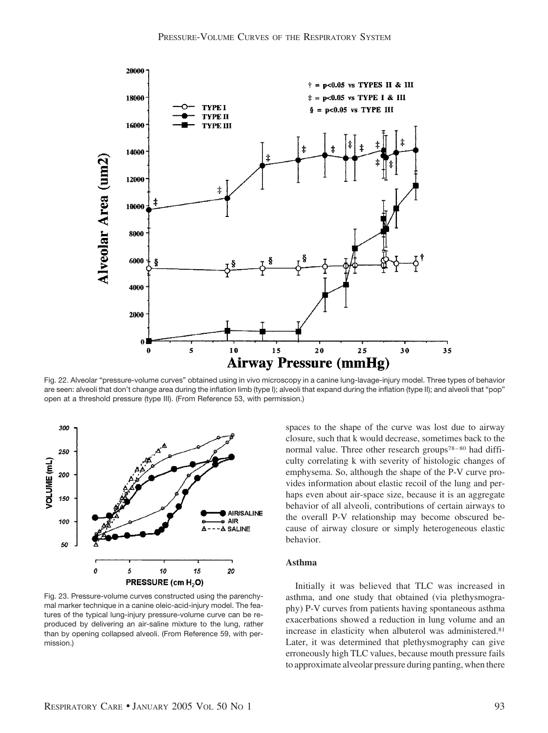

Fig. 22. Alveolar "pressure-volume curves" obtained using in vivo microscopy in a canine lung-lavage-injury model. Three types of behavior are seen: alveoli that don't change area during the inflation limb (type I); alveoli that expand during the inflation (type II); and alveoli that "pop" open at a threshold pressure (type III). (From Reference 53, with permission.)



Fig. 23. Pressure-volume curves constructed using the parenchymal marker technique in a canine oleic-acid-injury model. The features of the typical lung-injury pressure-volume curve can be reproduced by delivering an air-saline mixture to the lung, rather than by opening collapsed alveoli. (From Reference 59, with permission.)

spaces to the shape of the curve was lost due to airway closure, such that k would decrease, sometimes back to the normal value. Three other research groups<sup>78–80</sup> had difficulty correlating k with severity of histologic changes of emphysema. So, although the shape of the P-V curve provides information about elastic recoil of the lung and perhaps even about air-space size, because it is an aggregate behavior of all alveoli, contributions of certain airways to the overall P-V relationship may become obscured because of airway closure or simply heterogeneous elastic behavior.

# **Asthma**

Initially it was believed that TLC was increased in asthma, and one study that obtained (via plethysmography) P-V curves from patients having spontaneous asthma exacerbations showed a reduction in lung volume and an increase in elasticity when albuterol was administered.81 Later, it was determined that plethysmography can give erroneously high TLC values, because mouth pressure fails to approximate alveolar pressure during panting, when there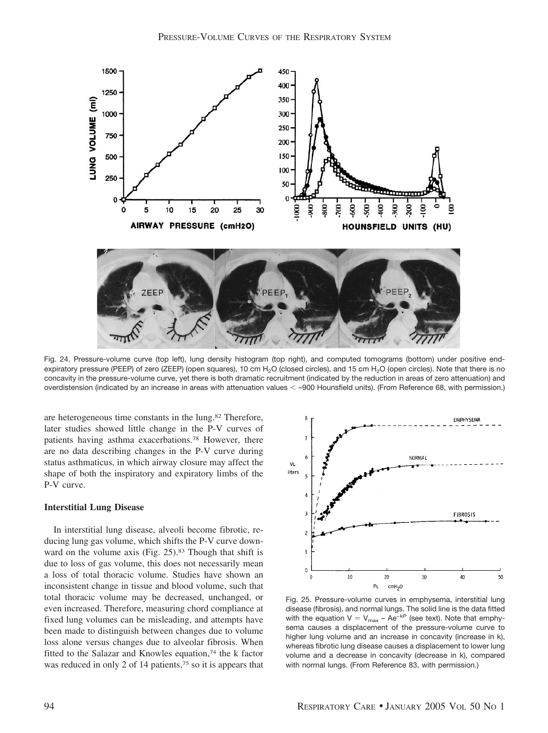1500 450 400 1250 350 LUNG VOLUME (ml) 1000  $300<sub>0</sub>$  $250 \cdot$ 750 200 150 500  $100 \cdot$ 250 50  $\mathbf 0$ 200 30O  $\Omega$ 5 10 15 20 25 30 AIRWAY PRESSURE (cmH2O) HOUNSFIELD UNITS (HU)

Fig. 24. Pressure-volume curve (top left), lung density histogram (top right), and computed tomograms (bottom) under positive endexpiratory pressure (PEEP) of zero (ZEEP) (open squares), 10 cm H<sub>2</sub>O (closed circles), and 15 cm H<sub>2</sub>O (open circles). Note that there is no concavity in the pressure-volume curve, yet there is both dramatic recruitment (indicated by the reduction in areas of zero attenuation) and overdistension (indicated by an increase in areas with attenuation values –900 Hounsfield units). (From Reference 68, with permission.)

are heterogeneous time constants in the lung.82 Therefore, later studies showed little change in the P-V curves of patients having asthma exacerbations.78 However, there are no data describing changes in the P-V curve during status asthmaticus, in which airway closure may affect the shape of both the inspiratory and expiratory limbs of the P-V curve.

## **Interstitial Lung Disease**

In interstitial lung disease, alveoli become fibrotic, reducing lung gas volume, which shifts the P-V curve downward on the volume axis (Fig. 25).<sup>83</sup> Though that shift is due to loss of gas volume, this does not necessarily mean a loss of total thoracic volume. Studies have shown an inconsistent change in tissue and blood volume, such that total thoracic volume may be decreased, unchanged, or even increased. Therefore, measuring chord compliance at fixed lung volumes can be misleading, and attempts have been made to distinguish between changes due to volume loss alone versus changes due to alveolar fibrosis. When fitted to the Salazar and Knowles equation,74 the k factor was reduced in only 2 of 14 patients,<sup>75</sup> so it is appears that



Fig. 25. Pressure-volume curves in emphysema, interstitial lung disease (fibrosis), and normal lungs. The solid line is the data fitted with the equation  $V = V_{max} - Ae^{-kP}$  (see text). Note that emphysema causes a displacement of the pressure-volume curve to higher lung volume and an increase in concavity (increase in k), whereas fibrotic lung disease causes a displacement to lower lung volume and a decrease in concavity (decrease in k), compared with normal lungs. (From Reference 83, with permission.)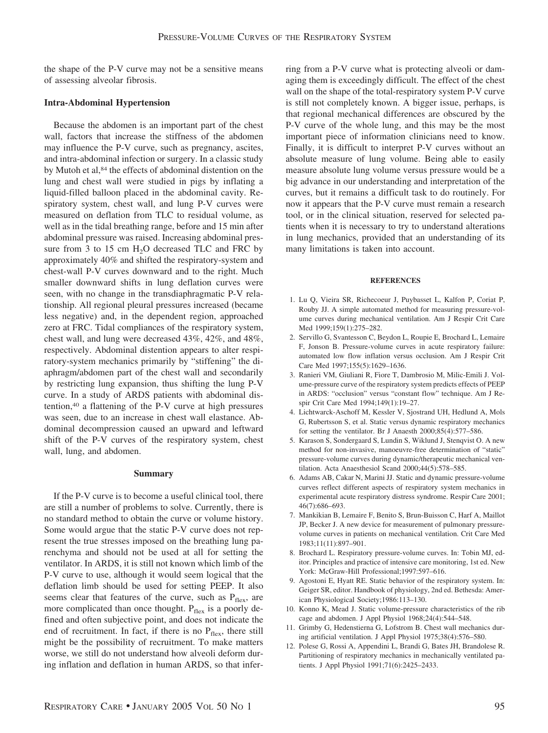the shape of the P-V curve may not be a sensitive means of assessing alveolar fibrosis.

## **Intra-Abdominal Hypertension**

Because the abdomen is an important part of the chest wall, factors that increase the stiffness of the abdomen may influence the P-V curve, such as pregnancy, ascites, and intra-abdominal infection or surgery. In a classic study by Mutoh et al,<sup>84</sup> the effects of abdominal distention on the lung and chest wall were studied in pigs by inflating a liquid-filled balloon placed in the abdominal cavity. Respiratory system, chest wall, and lung P-V curves were measured on deflation from TLC to residual volume, as well as in the tidal breathing range, before and 15 min after abdominal pressure was raised. Increasing abdominal pressure from 3 to 15 cm  $H_2O$  decreased TLC and FRC by approximately 40% and shifted the respiratory-system and chest-wall P-V curves downward and to the right. Much smaller downward shifts in lung deflation curves were seen, with no change in the transdiaphragmatic P-V relationship. All regional pleural pressures increased (became less negative) and, in the dependent region, approached zero at FRC. Tidal compliances of the respiratory system, chest wall, and lung were decreased 43%, 42%, and 48%, respectively. Abdominal distention appears to alter respiratory-system mechanics primarily by "stiffening" the diaphragm/abdomen part of the chest wall and secondarily by restricting lung expansion, thus shifting the lung P-V curve. In a study of ARDS patients with abdominal distention,40 a flattening of the P-V curve at high pressures was seen, due to an increase in chest wall elastance. Abdominal decompression caused an upward and leftward shift of the P-V curves of the respiratory system, chest wall, lung, and abdomen.

# **Summary**

If the P-V curve is to become a useful clinical tool, there are still a number of problems to solve. Currently, there is no standard method to obtain the curve or volume history. Some would argue that the static P-V curve does not represent the true stresses imposed on the breathing lung parenchyma and should not be used at all for setting the ventilator. In ARDS, it is still not known which limb of the P-V curve to use, although it would seem logical that the deflation limb should be used for setting PEEP. It also seems clear that features of the curve, such as  $P_{\text{flex}}$ , are more complicated than once thought.  $P_{flex}$  is a poorly defined and often subjective point, and does not indicate the end of recruitment. In fact, if there is no  $P_{flex}$ , there still might be the possibility of recruitment. To make matters worse, we still do not understand how alveoli deform during inflation and deflation in human ARDS, so that inferring from a P-V curve what is protecting alveoli or damaging them is exceedingly difficult. The effect of the chest wall on the shape of the total-respiratory system P-V curve is still not completely known. A bigger issue, perhaps, is that regional mechanical differences are obscured by the P-V curve of the whole lung, and this may be the most important piece of information clinicians need to know. Finally, it is difficult to interpret P-V curves without an absolute measure of lung volume. Being able to easily measure absolute lung volume versus pressure would be a big advance in our understanding and interpretation of the curves, but it remains a difficult task to do routinely. For now it appears that the P-V curve must remain a research tool, or in the clinical situation, reserved for selected patients when it is necessary to try to understand alterations in lung mechanics, provided that an understanding of its many limitations is taken into account.

#### **REFERENCES**

- 1. Lu Q, Vieira SR, Richecoeur J, Puybasset L, Kalfon P, Coriat P, Rouby JJ. A simple automated method for measuring pressure-volume curves during mechanical ventilation. Am J Respir Crit Care Med 1999;159(1):275–282.
- 2. Servillo G, Svantesson C, Beydon L, Roupie E, Brochard L, Lemaire F, Jonson B. Pressure-volume curves in acute respiratory failure: automated low flow inflation versus occlusion. Am J Respir Crit Care Med 1997;155(5):1629–1636.
- 3. Ranieri VM, Giuliani R, Fiore T, Dambrosio M, Milic-Emili J. Volume-pressure curve of the respiratory system predicts effects of PEEP in ARDS: "occlusion" versus "constant flow" technique. Am J Respir Crit Care Med 1994;149(1):19–27.
- 4. Lichtwarck-Aschoff M, Kessler V, Sjostrand UH, Hedlund A, Mols G, Rubertsson S, et al. Static versus dynamic respiratory mechanics for setting the ventilator. Br J Anaesth 2000;85(4):577–586.
- 5. Karason S, Sondergaard S, Lundin S, Wiklund J, Stenqvist O. A new method for non-invasive, manoeuvre-free determination of "static" pressure-volume curves during dynamic/therapeutic mechanical ventilation. Acta Anaesthesiol Scand 2000;44(5):578–585.
- 6. Adams AB, Cakar N, Marini JJ. Static and dynamic pressure-volume curves reflect different aspects of respiratory system mechanics in experimental acute respiratory distress syndrome. Respir Care 2001; 46(7):686–693.
- 7. Mankikian B, Lemaire F, Benito S, Brun-Buisson C, Harf A, Maillot JP, Becker J. A new device for measurement of pulmonary pressurevolume curves in patients on mechanical ventilation. Crit Care Med 1983;11(11):897–901.
- 8. Brochard L. Respiratory pressure-volume curves. In: Tobin MJ, editor. Principles and practice of intensive care monitoring, 1st ed. New York: McGraw-Hill Professional;1997:597–616.
- 9. Agostoni E, Hyatt RE. Static behavior of the respiratory system. In: Geiger SR, editor. Handbook of physiology, 2nd ed. Bethesda: American Physiological Society;1986:113–130.
- 10. Konno K, Mead J. Static volume-pressure characteristics of the rib cage and abdomen. J Appl Physiol 1968;24(4):544–548.
- 11. Grimby G, Hedenstierna G, Lofstrom B. Chest wall mechanics during artificial ventilation. J Appl Physiol 1975;38(4):576–580.
- 12. Polese G, Rossi A, Appendini L, Brandi G, Bates JH, Brandolese R. Partitioning of respiratory mechanics in mechanically ventilated patients. J Appl Physiol 1991;71(6):2425–2433.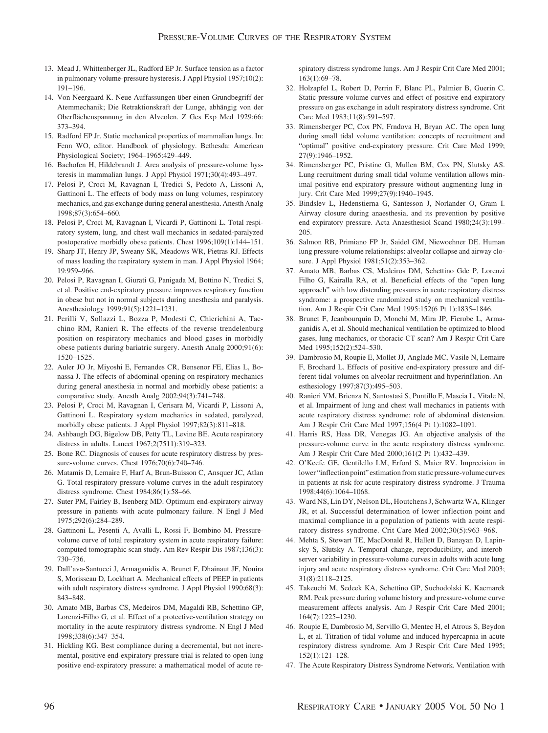- 13. Mead J, Whittenberger JL, Radford EP Jr. Surface tension as a factor in pulmonary volume-pressure hysteresis. J Appl Physiol 1957;10(2): 191–196.
- 14. Von Neergaard K. Neue Auffassungen über einen Grundbegriff der Atemmechanik; Die Retraktionskraft der Lunge, abhängig von der Oberflächenspannung in den Alveolen. Z Ges Exp Med 1929;66: 373–394.
- 15. Radford EP Jr. Static mechanical properties of mammalian lungs. In: Fenn WO, editor. Handbook of physiology. Bethesda: American Physiological Society; 1964–1965:429–449.
- 16. Bachofen H, Hildebrandt J. Area analysis of pressure-volume hysteresis in mammalian lungs. J Appl Physiol 1971;30(4):493–497.
- 17. Pelosi P, Croci M, Ravagnan I, Tredici S, Pedoto A, Lissoni A, Gattinoni L. The effects of body mass on lung volumes, respiratory mechanics, and gas exchange during general anesthesia. Anesth Analg 1998;87(3):654–660.
- 18. Pelosi P, Croci M, Ravagnan I, Vicardi P, Gattinoni L. Total respiratory system, lung, and chest wall mechanics in sedated-paralyzed postoperative morbidly obese patients. Chest 1996;109(1):144–151.
- 19. Sharp JT, Henry JP, Sweany SK, Meadows WR, Pietras RJ. Effects of mass loading the respiratory system in man. J Appl Physiol 1964; 19:959–966.
- 20. Pelosi P, Ravagnan I, Giurati G, Panigada M, Bottino N, Tredici S, et al. Positive end-expiratory pressure improves respiratory function in obese but not in normal subjects during anesthesia and paralysis. Anesthesiology 1999;91(5):1221–1231.
- 21. Perilli V, Sollazzi L, Bozza P, Modesti C, Chierichini A, Tacchino RM, Ranieri R. The effects of the reverse trendelenburg position on respiratory mechanics and blood gases in morbidly obese patients during bariatric surgery. Anesth Analg 2000;91(6): 1520–1525.
- 22. Auler JO Jr, Miyoshi E, Fernandes CR, Bensenor FE, Elias L, Bonassa J. The effects of abdominal opening on respiratory mechanics during general anesthesia in normal and morbidly obese patients: a comparative study. Anesth Analg 2002;94(3):741–748.
- 23. Pelosi P, Croci M, Ravagnan I, Cerisara M, Vicardi P, Lissoni A, Gattinoni L. Respiratory system mechanics in sedated, paralyzed, morbidly obese patients. J Appl Physiol 1997;82(3):811–818.
- 24. Ashbaugh DG, Bigelow DB, Petty TL, Levine BE. Acute respiratory distress in adults. Lancet 1967;2(7511):319–323.
- 25. Bone RC. Diagnosis of causes for acute respiratory distress by pressure-volume curves. Chest 1976;70(6):740–746.
- 26. Matamis D, Lemaire F, Harf A, Brun-Buisson C, Ansquer JC, Atlan G. Total respiratory pressure-volume curves in the adult respiratory distress syndrome. Chest 1984;86(1):58–66.
- 27. Suter PM, Fairley B, Isenberg MD. Optimum end-expiratory airway pressure in patients with acute pulmonary failure. N Engl J Med 1975;292(6):284–289.
- 28. Gattinoni L, Pesenti A, Avalli L, Rossi F, Bombino M. Pressurevolume curve of total respiratory system in acute respiratory failure: computed tomographic scan study. Am Rev Respir Dis 1987;136(3): 730–736.
- 29. Dall'ava-Santucci J, Armaganidis A, Brunet F, Dhainaut JF, Nouira S, Morisseau D, Lockhart A. Mechanical effects of PEEP in patients with adult respiratory distress syndrome. J Appl Physiol 1990;68(3): 843–848.
- 30. Amato MB, Barbas CS, Medeiros DM, Magaldi RB, Schettino GP, Lorenzi-Filho G, et al. Effect of a protective-ventilation strategy on mortality in the acute respiratory distress syndrome. N Engl J Med 1998;338(6):347–354.
- 31. Hickling KG. Best compliance during a decremental, but not incremental, positive end-expiratory pressure trial is related to open-lung positive end-expiratory pressure: a mathematical model of acute re-

spiratory distress syndrome lungs. Am J Respir Crit Care Med 2001; 163(1):69–78.

- 32. Holzapfel L, Robert D, Perrin F, Blanc PL, Palmier B, Guerin C. Static pressure-volume curves and effect of positive end-expiratory pressure on gas exchange in adult respiratory distress syndrome. Crit Care Med 1983;11(8):591–597.
- 33. Rimensberger PC, Cox PN, Frndova H, Bryan AC. The open lung during small tidal volume ventilation: concepts of recruitment and "optimal" positive end-expiratory pressure. Crit Care Med 1999; 27(9):1946–1952.
- 34. Rimensberger PC, Pristine G, Mullen BM, Cox PN, Slutsky AS. Lung recruitment during small tidal volume ventilation allows minimal positive end-expiratory pressure without augmenting lung injury. Crit Care Med 1999;27(9):1940–1945.
- 35. Bindslev L, Hedenstierna G, Santesson J, Norlander O, Gram I. Airway closure during anaesthesia, and its prevention by positive end expiratory pressure. Acta Anaesthesiol Scand 1980;24(3):199– 205.
- 36. Salmon RB, Primiano FP Jr, Saidel GM, Niewoehner DE. Human lung pressure-volume relationships: alveolar collapse and airway closure. J Appl Physiol 1981;51(2):353–362.
- 37. Amato MB, Barbas CS, Medeiros DM, Schettino Gde P, Lorenzi Filho G, Kairalla RA, et al. Beneficial effects of the "open lung approach" with low distending pressures in acute respiratory distress syndrome: a prospective randomized study on mechanical ventilation. Am J Respir Crit Care Med 1995:152(6 Pt 1):1835–1846.
- 38. Brunet F, Jeanbourquin D, Monchi M, Mira JP, Fierobe L, Armaganidis A, et al. Should mechanical ventilation be optimized to blood gases, lung mechanics, or thoracic CT scan? Am J Respir Crit Care Med 1995;152(2):524–530.
- 39. Dambrosio M, Roupie E, Mollet JJ, Anglade MC, Vasile N, Lemaire F, Brochard L. Effects of positive end-expiratory pressure and different tidal volumes on alveolar recruitment and hyperinflation. Anesthesiology 1997;87(3):495–503.
- 40. Ranieri VM, Brienza N, Santostasi S, Puntillo F, Mascia L, Vitale N, et al. Impairment of lung and chest wall mechanics in patients with acute respiratory distress syndrome: role of abdominal distension. Am J Respir Crit Care Med 1997;156(4 Pt 1):1082–1091.
- 41. Harris RS, Hess DR, Venegas JG. An objective analysis of the pressure-volume curve in the acute respiratory distress syndrome. Am J Respir Crit Care Med 2000;161(2 Pt 1):432–439.
- 42. O'Keefe GE, Gentilello LM, Erford S, Maier RV. Imprecision in lower "inflection point" estimation from static pressure-volume curves in patients at risk for acute respiratory distress syndrome. J Trauma 1998;44(6):1064–1068.
- 43. Ward NS, Lin DY, Nelson DL, Houtchens J, Schwartz WA, Klinger JR, et al. Successful determination of lower inflection point and maximal compliance in a population of patients with acute respiratory distress syndrome. Crit Care Med 2002;30(5):963–968.
- 44. Mehta S, Stewart TE, MacDonald R, Hallett D, Banayan D, Lapinsky S, Slutsky A. Temporal change, reproducibility, and interobserver variability in pressure-volume curves in adults with acute lung injury and acute respiratory distress syndrome. Crit Care Med 2003; 31(8):2118–2125.
- 45. Takeuchi M, Sedeek KA, Schettino GP, Suchodolski K, Kacmarek RM. Peak pressure during volume history and pressure-volume curve measurement affects analysis. Am J Respir Crit Care Med 2001; 164(7):1225–1230.
- 46. Roupie E, Dambrosio M, Servillo G, Mentec H, el Atrous S, Beydon L, et al. Titration of tidal volume and induced hypercapnia in acute respiratory distress syndrome. Am J Respir Crit Care Med 1995; 152(1):121–128.
- 47. The Acute Respiratory Distress Syndrome Network. Ventilation with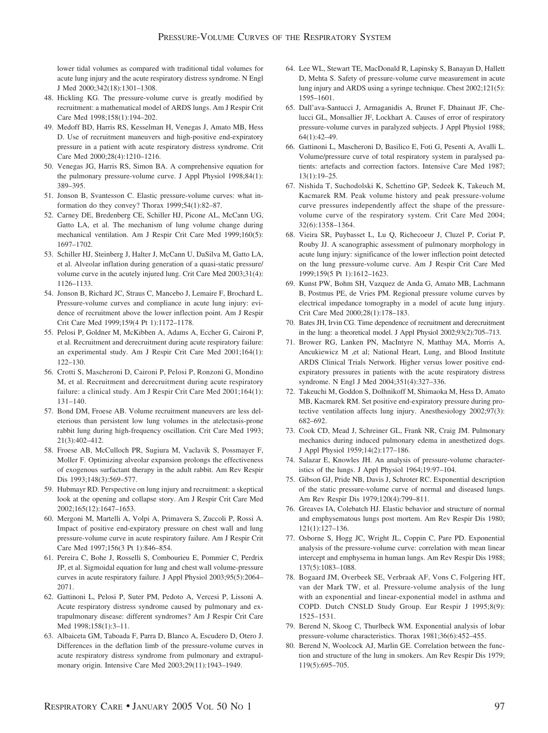lower tidal volumes as compared with traditional tidal volumes for acute lung injury and the acute respiratory distress syndrome. N Engl J Med 2000;342(18):1301–1308.

- 48. Hickling KG. The pressure-volume curve is greatly modified by recruitment: a mathematical model of ARDS lungs. Am J Respir Crit Care Med 1998;158(1):194–202.
- 49. Medoff BD, Harris RS, Kesselman H, Venegas J, Amato MB, Hess D. Use of recruitment maneuvers and high-positive end-expiratory pressure in a patient with acute respiratory distress syndrome. Crit Care Med 2000;28(4):1210–1216.
- 50. Venegas JG, Harris RS, Simon BA. A comprehensive equation for the pulmonary pressure-volume curve. J Appl Physiol 1998;84(1): 389–395.
- 51. Jonson B, Svantesson C. Elastic pressure-volume curves: what information do they convey? Thorax 1999;54(1):82–87.
- 52. Carney DE, Bredenberg CE, Schiller HJ, Picone AL, McCann UG, Gatto LA, et al. The mechanism of lung volume change during mechanical ventilation. Am J Respir Crit Care Med 1999;160(5): 1697–1702.
- 53. Schiller HJ, Steinberg J, Halter J, McCann U, DaSilva M, Gatto LA, et al. Alveolar inflation during generation of a quasi-static pressure/ volume curve in the acutely injured lung. Crit Care Med 2003;31(4): 1126–1133.
- 54. Jonson B, Richard JC, Straus C, Mancebo J, Lemaire F, Brochard L. Pressure-volume curves and compliance in acute lung injury: evidence of recruitment above the lower inflection point. Am J Respir Crit Care Med 1999;159(4 Pt 1):1172–1178.
- 55. Pelosi P, Goldner M, McKibben A, Adams A, Eccher G, Caironi P, et al. Recruitment and derecruitment during acute respiratory failure: an experimental study. Am J Respir Crit Care Med 2001;164(1): 122–130.
- 56. Crotti S, Mascheroni D, Caironi P, Pelosi P, Ronzoni G, Mondino M, et al. Recruitment and derecruitment during acute respiratory failure: a clinical study. Am J Respir Crit Care Med 2001;164(1): 131–140.
- 57. Bond DM, Froese AB. Volume recruitment maneuvers are less deleterious than persistent low lung volumes in the atelectasis-prone rabbit lung during high-frequency oscillation. Crit Care Med 1993; 21(3):402–412.
- 58. Froese AB, McCulloch PR, Sugiura M, Vaclavik S, Possmayer F, Moller F. Optimizing alveolar expansion prolongs the effectiveness of exogenous surfactant therapy in the adult rabbit. Am Rev Respir Dis 1993;148(3):569-577.
- 59. Hubmayr RD. Perspective on lung injury and recruitment: a skeptical look at the opening and collapse story. Am J Respir Crit Care Med 2002;165(12):1647–1653.
- 60. Mergoni M, Martelli A, Volpi A, Primavera S, Zuccoli P, Rossi A. Impact of positive end-expiratory pressure on chest wall and lung pressure-volume curve in acute respiratory failure. Am J Respir Crit Care Med 1997;156(3 Pt 1):846–854.
- 61. Pereira C, Bohe J, Rosselli S, Combourieu E, Pommier C, Perdrix JP, et al. Sigmoidal equation for lung and chest wall volume-pressure curves in acute respiratory failure. J Appl Physiol 2003;95(5):2064– 2071.
- 62. Gattinoni L, Pelosi P, Suter PM, Pedoto A, Vercesi P, Lissoni A. Acute respiratory distress syndrome caused by pulmonary and extrapulmonary disease: different syndromes? Am J Respir Crit Care Med 1998;158(1):3–11.
- 63. Albaiceta GM, Taboada F, Parra D, Blanco A, Escudero D, Otero J. Differences in the deflation limb of the pressure-volume curves in acute respiratory distress syndrome from pulmonary and extrapulmonary origin. Intensive Care Med 2003;29(11):1943–1949.
- 64. Lee WL, Stewart TE, MacDonald R, Lapinsky S, Banayan D, Hallett D, Mehta S. Safety of pressure-volume curve measurement in acute lung injury and ARDS using a syringe technique. Chest 2002;121(5): 1595–1601.
- 65. Dall'ava-Santucci J, Armaganidis A, Brunet F, Dhainaut JF, Chelucci GL, Monsallier JF, Lockhart A. Causes of error of respiratory pressure-volume curves in paralyzed subjects. J Appl Physiol 1988; 64(1):42–49.
- 66. Gattinoni L, Mascheroni D, Basilico E, Foti G, Pesenti A, Avalli L. Volume/pressure curve of total respiratory system in paralysed patients: artefacts and correction factors. Intensive Care Med 1987; 13(1):19–25.
- 67. Nishida T, Suchodolski K, Schettino GP, Sedeek K, Takeuch M, Kacmarek RM. Peak volume history and peak pressure-volume curve pressures independently affect the shape of the pressurevolume curve of the respiratory system. Crit Care Med 2004; 32(6):1358–1364.
- 68. Vieira SR, Puybasset L, Lu Q, Richecoeur J, Cluzel P, Coriat P, Rouby JJ. A scanographic assessment of pulmonary morphology in acute lung injury: significance of the lower inflection point detected on the lung pressure-volume curve. Am J Respir Crit Care Med 1999;159(5 Pt 1):1612–1623.
- 69. Kunst PW, Bohm SH, Vazquez de Anda G, Amato MB, Lachmann B, Postmus PE, de Vries PM. Regional pressure volume curves by electrical impedance tomography in a model of acute lung injury. Crit Care Med 2000;28(1):178–183.
- 70. Bates JH, Irvin CG. Time dependence of recruitment and derecruitment in the lung: a theoretical model. J Appl Physiol 2002;93(2):705–713.
- 71. Brower RG, Lanken PN, MacIntyre N, Matthay MA, Morris A, Ancukiewicz M ,et al; National Heart, Lung, and Blood Institute ARDS Clinical Trials Network. Higher versus lower positive endexpiratory pressures in patients with the acute respiratory distress syndrome. N Engl J Med 2004;351(4):327–336.
- 72. Takeuchi M, Goddon S, Dolhnikoff M, Shimaoka M, Hess D, Amato MB, Kacmarek RM. Set positive end-expiratory pressure during protective ventilation affects lung injury. Anesthesiology 2002;97(3): 682–692.
- 73. Cook CD, Mead J, Schreiner GL, Frank NR, Craig JM. Pulmonary mechanics during induced pulmonary edema in anesthetized dogs. J Appl Physiol 1959;14(2):177–186.
- 74. Salazar E, Knowles JH. An analysis of pressure-volume characteristics of the lungs. J Appl Physiol 1964;19:97–104.
- 75. Gibson GJ, Pride NB, Davis J, Schroter RC. Exponential description of the static pressure-volume curve of normal and diseased lungs. Am Rev Respir Dis 1979;120(4):799–811.
- 76. Greaves IA, Colebatch HJ. Elastic behavior and structure of normal and emphysematous lungs post mortem. Am Rev Respir Dis 1980; 121(1):127–136.
- 77. Osborne S, Hogg JC, Wright JL, Coppin C, Pare PD. Exponential analysis of the pressure-volume curve: correlation with mean linear intercept and emphysema in human lungs. Am Rev Respir Dis 1988; 137(5):1083–1088.
- 78. Bogaard JM, Overbeek SE, Verbraak AF, Vons C, Folgering HT, van der Mark TW, et al. Pressure-volume analysis of the lung with an exponential and linear-exponential model in asthma and COPD. Dutch CNSLD Study Group. Eur Respir J 1995;8(9): 1525–1531.
- 79. Berend N, Skoog C, Thurlbeck WM. Exponential analysis of lobar pressure-volume characteristics. Thorax 1981;36(6):452–455.
- 80. Berend N, Woolcock AJ, Marlin GE. Correlation between the function and structure of the lung in smokers. Am Rev Respir Dis 1979; 119(5):695–705.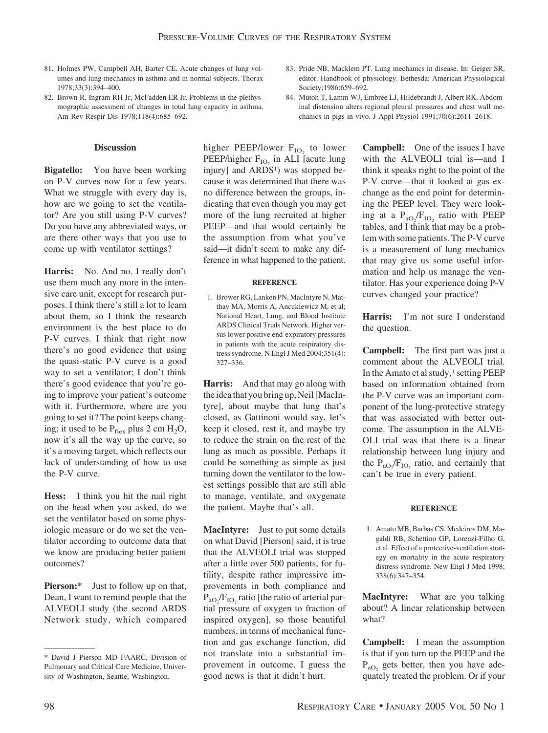- 81. Holmes PW, Campbell AH, Barter CE. Acute changes of lung volumes and lung mechanics in asthma and in normal subjects. Thorax 1978;33(3):394–400.
- 82. Brown R, Ingram RH Jr, McFadden ER Jr. Problems in the plethysmographic assessment of changes in total lung capacity in asthma. Am Rev Respir Dis 1978;118(4):685–692.

### **Discussion**

**Bigatello:** You have been working on P-V curves now for a few years. What we struggle with every day is, how are we going to set the ventilator? Are you still using P-V curves? Do you have any abbreviated ways, or are there other ways that you use to come up with ventilator settings?

**Harris:** No. And no. I really don't use them much any more in the intensive care unit, except for research purposes. I think there's still a lot to learn about them, so I think the research environment is the best place to do P-V curves. I think that right now there's no good evidence that using the quasi-static P-V curve is a good way to set a ventilator; I don't think there's good evidence that you're going to improve your patient's outcome with it. Furthermore, where are you going to set it? The point keeps changing; it used to be  $P_{\text{flex}}$  plus 2 cm  $H_2O$ , now it's all the way up the curve, so it's a moving target, which reflects our lack of understanding of how to use the P-V curve.

**Hess:** I think you hit the nail right on the head when you asked, do we set the ventilator based on some physiologic measure or do we set the ventilator according to outcome data that we know are producing better patient outcomes?

**Pierson:**\* Just to follow up on that, Dean, I want to remind people that the ALVEOLI study (the second ARDS Network study, which compared

higher PEEP/lower  $F_{IO}$  to lower PEEP/higher  $F_{IO}$  in ALI [acute lung] injury] and  $ARDS<sup>1</sup>$  was stopped because it was determined that there was no difference between the groups, indicating that even though you may get more of the lung recruited at higher PEEP—and that would certainly be the assumption from what you've said—it didn't seem to make any difference in what happened to the patient.

#### **REFERENCE**

1. Brower RG, Lanken PN, MacIntyre N, Matthay MA, Morris A, Ancukiewicz M, et al; National Heart, Lung, and Blood Institute ARDS Clinical Trials Network. Higher versus lower positive end-expiratory pressures in patients with the acute respiratory distress syndrome. N Engl J Med 2004;351(4): 327–336.

**Harris:** And that may go along with the idea that you bring up, Neil [MacIntyre], about maybe that lung that's closed, as Gattinoni would say, let's keep it closed, rest it, and maybe try to reduce the strain on the rest of the lung as much as possible. Perhaps it could be something as simple as just turning down the ventilator to the lowest settings possible that are still able to manage, ventilate, and oxygenate the patient. Maybe that's all.

**MacIntyre:** Just to put some details on what David [Pierson] said, it is true that the ALVEOLI trial was stopped after a little over 500 patients, for futility, despite rather impressive improvements in both compliance and  $P_{aO_2}/F_{IO_2}$  ratio [the ratio of arterial partial pressure of oxygen to fraction of inspired oxygen], so those beautiful numbers, in terms of mechanical function and gas exchange function, did not translate into a substantial improvement in outcome. I guess the good news is that it didn't hurt.

- 83. Pride NB, Macklem PT. Lung mechanics in disease. In: Geiger SR, editor. Handbook of physiology. Bethesda: American Physiological Society;1986:659–692.
- 84. Mutoh T, Lamm WJ, Embree LJ, Hildebrandt J, Albert RK. Abdominal distension alters regional pleural pressures and chest wall mechanics in pigs in vivo. J Appl Physiol 1991;70(6):2611–2618.

**Campbell:** One of the issues I have with the ALVEOLI trial is—and I think it speaks right to the point of the P-V curve—that it looked at gas exchange as the end point for determining the PEEP level. They were looking at a  $P_{aO_2}/F_{IO_2}$  ratio with PEEP tables, and I think that may be a problem with some patients. The P-V curve is a measurement of lung mechanics that may give us some useful information and help us manage the ventilator. Has your experience doing P-V curves changed your practice?

**Harris:** I'm not sure I understand the question.

**Campbell:** The first part was just a comment about the ALVEOLI trial. In the Amato et al study, $\frac{1}{1}$  setting PEEP based on information obtained from the P-V curve was an important component of the lung-protective strategy that was associated with better outcome. The assumption in the ALVE-OLI trial was that there is a linear relationship between lung injury and the  $P_{aO_2}/F_{IO_2}$  ratio, and certainly that can't be true in every patient.

#### **REFERENCE**

1. Amato MB, Barbas CS, Medeiros DM, Magaldi RB, Schettino GP, Lorenzi-Filho G, et al. Effect of a protective-ventilation strategy on mortality in the acute respiratory distress syndrome. New Engl J Med 1998; 338(6):347–354.

**MacIntyre:** What are you talking about? A linear relationship between what?

**Campbell:** I mean the assumption is that if you turn up the PEEP and the  $P_{aO_2}$  gets better, then you have adequately treated the problem. Or if your

<sup>\*</sup> David J Pierson MD FAARC, Division of Pulmonary and Critical Care Medicine, University of Washington, Seattle, Washington.